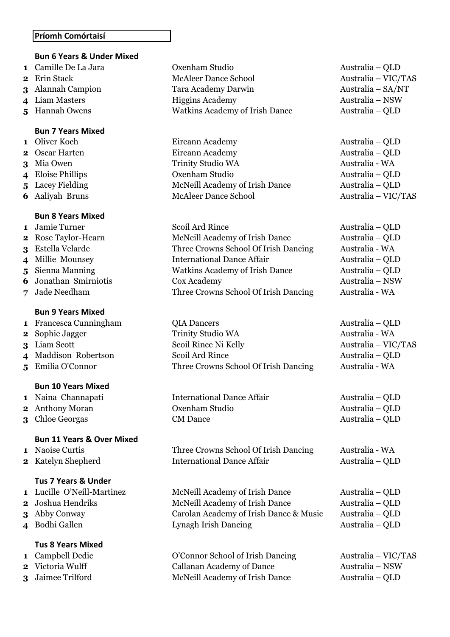#### **Príomh Comórtaisí**

# **Bun 6 Years & Under Mixed**

- 
- 
- 
- 
- 

#### **Bun 7 Years Mixed**

- 
- 
- 
- 
- 
- 

#### **Bun 8 Years Mixed**

- 
- 
- 
- 
- 
- 
- 

#### **Bun 9 Years Mixed**

- 
- 
- 
- 
- 

# **Bun 10 Years Mixed**

- 
- 
- 

#### **Bun 11 Years & Over Mixed**

- 
- 

#### **Tus 7 Years & Under**

- 
- 
- 
- 

# **Tus 8 Years Mixed**

- 
- 
- 

 Camille De La Jara Cxenham Studio Australia – QLD Erin Stack McAleer Dance School Australia – VIC/TAS Alannah Campion Tara Academy Darwin Australia – SA/NT Liam Masters Higgins Academy Australia – NSW Hannah Owens Watkins Academy of Irish Dance Australia – QLD

 Oliver Koch Eireann Academy Australia – QLD Oscar Harten **Eireann Academy Example 1** Australia – OLD Mia Owen Trinity Studio WA Australia - WA Eloise Phillips Oxenham Studio Australia – QLD Lacey Fielding McNeill Academy of Irish Dance Australia – QLD Aaliyah Bruns McAleer Dance School Australia – VIC/TAS

1 Jamie Turner Scoil Ard Rince Australia – QLD Rose Taylor-Hearn McNeill Academy of Irish Dance Australia – QLD Estella Velarde Three Crowns School Of Irish Dancing Australia - WA Millie Mounsey International Dance Affair Australia – QLD Sienna Manning Watkins Academy of Irish Dance Australia – QLD Jonathan Smirniotis Cox Academy Australia – NSW Jade Needham Three Crowns School Of Irish Dancing Australia - WA

 Francesca Cunningham **QIA Dancers** Australia – QLD Sophie Jagger Trinity Studio WA Australia - WA Liam Scott Scoil Rince Ni Kelly Australia – VIC/TAS Maddison Robertson Scoil Ard Rince Australia – QLD Emilia O'Connor Three Crowns School Of Irish Dancing Australia - WA

 Naina Channapati **International Dance Affair** Australia – QLD Anthony Moran **Oxenham Studio** Australia – QLD Chloe Georgas CM Dance Australia – QLD

 Naoise Curtis Three Crowns School Of Irish Dancing Australia - WA Katelyn Shepherd International Dance Affair Australia – QLD

 Lucille O'Neill-Martinez McNeill Academy of Irish Dance Australia – QLD Joshua Hendriks McNeill Academy of Irish Dance Australia – QLD Abby Conway Carolan Academy of Irish Dance & Music Australia – QLD Bodhi Gallen Lynagh Irish Dancing Australia – QLD

 Campbell Dedic O'Connor School of Irish Dancing Australia – VIC/TAS Victoria Wulff Callanan Academy of Dance Australia – NSW Jaimee Trilford McNeill Academy of Irish Dance Australia – QLD

- 
- 
-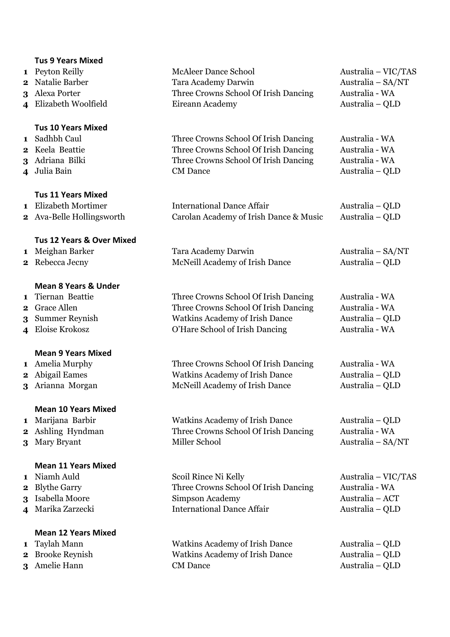#### **Tus 9 Years Mixed**

- 
- 
- 
- 

#### **Tus 10 Years Mixed**

- 
- 
- 
- 

# **Tus 11 Years Mixed**

- 
- 

# **Tus 12 Years & Over Mixed**

- 
- 

# **Mean 8 Years & Under**

- 
- 
- 
- 

# **Mean 9 Years Mixed**

- 
- 
- 

# **Mean 10 Years Mixed**

- 
- 
- 

#### **Mean 11 Years Mixed**

- 
- 
- 
- 

#### **Mean 12 Years Mixed**

- 
- 
- 

 Peyton Reilly McAleer Dance School Australia – VIC/TAS Natalie Barber Tara Academy Darwin Australia – SA/NT Alexa Porter Three Crowns School Of Irish Dancing Australia - WA Elizabeth Woolfield Eireann Academy Australia – QLD

 Sadhbh Caul Three Crowns School Of Irish Dancing Australia - WA Keela Beattie **2** Three Crowns School Of Irish Dancing Australia - WA Adriana Bilki Three Crowns School Of Irish Dancing Australia - WA Julia Bain CM Dance Australia – QLD

 Elizabeth Mortimer International Dance Affair Australia – QLD Ava-Belle Hollingsworth Carolan Academy of Irish Dance & Music Australia – QLD

 Meighan Barker Tara Academy Darwin Australia – SA/NT Rebecca Jecny McNeill Academy of Irish Dance Australia – QLD

 Tiernan Beattie Three Crowns School Of Irish Dancing Australia - WA Grace Allen Three Crowns School Of Irish Dancing Australia - WA Summer Reynish Watkins Academy of Irish Dance Australia – QLD Eloise Krokosz O'Hare School of Irish Dancing Australia - WA

 Amelia Murphy Three Crowns School Of Irish Dancing Australia - WA Abigail Eames Watkins Academy of Irish Dance Australia – QLD Arianna Morgan McNeill Academy of Irish Dance Australia – QLD

 Marijana Barbir Watkins Academy of Irish Dance Australia – QLD Ashling Hyndman Three Crowns School Of Irish Dancing Australia - WA Mary Bryant Miller School Australia – SA/NT

 Niamh Auld Scoil Rince Ni Kelly Australia – VIC/TAS Blythe Garry Three Crowns School Of Irish Dancing Australia - WA Isabella Moore Simpson Academy Australia – ACT Marika Zarzecki International Dance Affair Australia – QLD

 Taylah Mann Watkins Academy of Irish Dance Australia – QLD Brooke Reynish Watkins Academy of Irish Dance Australia – QLD Amelie Hann CM Dance Australia – QLD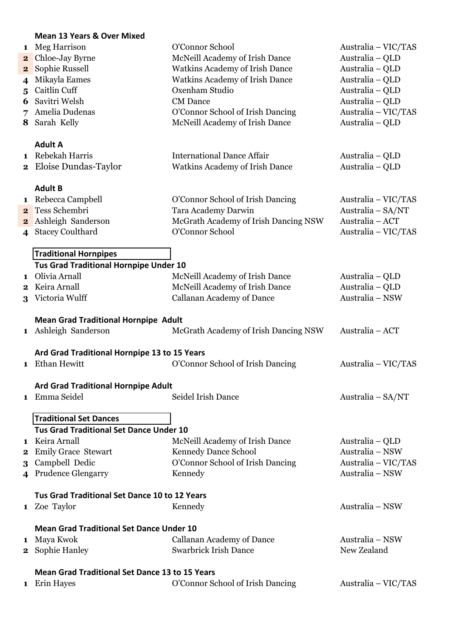### **Mean 13 Years & Over Mixed**

|          | iviean 13 Years & Over Mixed                          |                                                         |                                        |  |  |  |
|----------|-------------------------------------------------------|---------------------------------------------------------|----------------------------------------|--|--|--|
|          | 1 Meg Harrison                                        | O'Connor School                                         | Australia – VIC/TAS                    |  |  |  |
| $\bf{2}$ | Chloe-Jay Byrne                                       | McNeill Academy of Irish Dance                          | Australia - QLD                        |  |  |  |
| $\bf{2}$ | Sophie Russell                                        | <b>Watkins Academy of Irish Dance</b>                   | Australia - QLD                        |  |  |  |
| 4        | Mikayla Eames                                         | <b>Watkins Academy of Irish Dance</b>                   | Australia - QLD                        |  |  |  |
| 5        | Caitlin Cuff                                          | Oxenham Studio                                          | Australia - QLD                        |  |  |  |
| 6        | Savitri Welsh                                         | <b>CM</b> Dance                                         | Australia - QLD                        |  |  |  |
| 7        | Amelia Dudenas                                        | O'Connor School of Irish Dancing                        | Australia - VIC/TAS                    |  |  |  |
|          | 8 Sarah Kelly                                         | McNeill Academy of Irish Dance                          | Australia - QLD                        |  |  |  |
|          | <b>Adult A</b>                                        |                                                         |                                        |  |  |  |
|          | 1 Rebekah Harris                                      | <b>International Dance Affair</b>                       | Australia – QLD                        |  |  |  |
|          | <b>2</b> Eloise Dundas-Taylor                         | <b>Watkins Academy of Irish Dance</b>                   | Australia - QLD                        |  |  |  |
|          |                                                       |                                                         |                                        |  |  |  |
|          | <b>Adult B</b>                                        |                                                         |                                        |  |  |  |
|          | 1 Rebecca Campbell                                    | O'Connor School of Irish Dancing                        | Australia - VIC/TAS                    |  |  |  |
|          | 2 Tess Schembri                                       | Tara Academy Darwin                                     | Australia - SA/NT                      |  |  |  |
| $\bf{2}$ | Ashleigh Sanderson                                    | McGrath Academy of Irish Dancing NSW<br>O'Connor School | Australia - ACT<br>Australia - VIC/TAS |  |  |  |
|          | 4 Stacey Coulthard                                    |                                                         |                                        |  |  |  |
|          | <b>Traditional Hornpipes</b>                          |                                                         |                                        |  |  |  |
|          | Tus Grad Traditional Hornpipe Under 10                |                                                         |                                        |  |  |  |
| 1        | Olivia Arnall                                         | McNeill Academy of Irish Dance                          | Australia – QLD                        |  |  |  |
| 2        | Keira Arnall                                          | McNeill Academy of Irish Dance                          | Australia - QLD                        |  |  |  |
| 3        | Victoria Wulff                                        | <b>Callanan Academy of Dance</b>                        | Australia - NSW                        |  |  |  |
|          |                                                       |                                                         |                                        |  |  |  |
|          | <b>Mean Grad Traditional Hornpipe Adult</b>           |                                                         |                                        |  |  |  |
|          | 1 Ashleigh Sanderson                                  | McGrath Academy of Irish Dancing NSW                    | Australia - ACT                        |  |  |  |
|          | Ard Grad Traditional Hornpipe 13 to 15 Years          |                                                         |                                        |  |  |  |
|          | 1 Ethan Hewitt                                        | O'Connor School of Irish Dancing                        | Australia – VIC/TAS                    |  |  |  |
|          |                                                       |                                                         |                                        |  |  |  |
|          | Ard Grad Traditional Hornpipe Adult                   |                                                         |                                        |  |  |  |
|          | 1 Emma Seidel                                         | Seidel Irish Dance                                      | Australia – SA/NT                      |  |  |  |
|          |                                                       |                                                         |                                        |  |  |  |
|          | <b>Traditional Set Dances</b>                         |                                                         |                                        |  |  |  |
|          | Tus Grad Traditional Set Dance Under 10               |                                                         |                                        |  |  |  |
|          | 1 Keira Arnall                                        | McNeill Academy of Irish Dance                          | Australia – QLD                        |  |  |  |
| $\bf{2}$ | <b>Emily Grace Stewart</b>                            | Kennedy Dance School                                    | Australia - NSW                        |  |  |  |
| 3        | Campbell Dedic                                        | O'Connor School of Irish Dancing                        | Australia – VIC/TAS                    |  |  |  |
|          | 4 Prudence Glengarry                                  | Kennedy                                                 | Australia - NSW                        |  |  |  |
|          | Tus Grad Traditional Set Dance 10 to 12 Years         |                                                         |                                        |  |  |  |
|          | 1 Zoe Taylor                                          | Kennedy                                                 | Australia – NSW                        |  |  |  |
|          |                                                       |                                                         |                                        |  |  |  |
|          | <b>Mean Grad Traditional Set Dance Under 10</b>       |                                                         |                                        |  |  |  |
|          | 1 Maya Kwok                                           | Callanan Academy of Dance                               | Australia – NSW                        |  |  |  |
|          | <b>2</b> Sophie Hanley                                | <b>Swarbrick Irish Dance</b>                            | New Zealand                            |  |  |  |
|          | <b>Mean Grad Traditional Set Dance 13 to 15 Years</b> |                                                         |                                        |  |  |  |
|          | 1 Erin Hayes                                          | O'Connor School of Irish Dancing                        | Australia – VIC/TAS                    |  |  |  |
|          |                                                       |                                                         |                                        |  |  |  |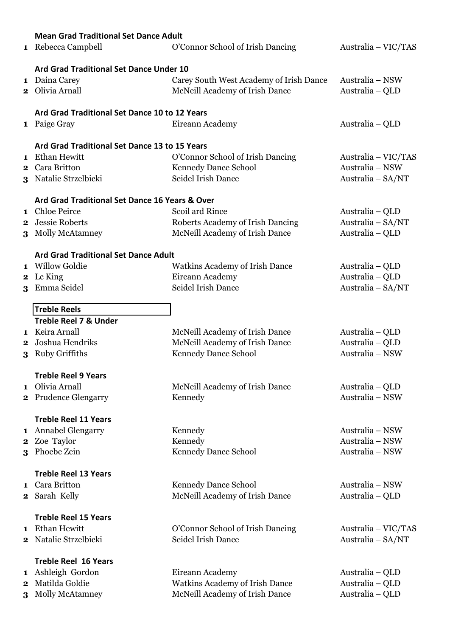|          | <b>Mean Grad Traditional Set Dance Adult</b>                  |                                                          |                                          |  |  |  |
|----------|---------------------------------------------------------------|----------------------------------------------------------|------------------------------------------|--|--|--|
|          | 1 Rebecca Campbell                                            | O'Connor School of Irish Dancing                         | Australia – VIC/TAS                      |  |  |  |
|          |                                                               |                                                          |                                          |  |  |  |
|          | Ard Grad Traditional Set Dance Under 10                       |                                                          |                                          |  |  |  |
|          | 1 Daina Carey                                                 | Carey South West Academy of Irish Dance                  | Australia - NSW                          |  |  |  |
|          | 2 Olivia Arnall                                               | McNeill Academy of Irish Dance                           | Australia – QLD                          |  |  |  |
|          |                                                               |                                                          |                                          |  |  |  |
|          | Ard Grad Traditional Set Dance 10 to 12 Years                 |                                                          |                                          |  |  |  |
|          | 1 Paige Gray                                                  | Eireann Academy                                          | Australia – QLD                          |  |  |  |
|          |                                                               |                                                          |                                          |  |  |  |
|          | Ard Grad Traditional Set Dance 13 to 15 Years<br>Ethan Hewitt |                                                          |                                          |  |  |  |
| 1        | 2 Cara Britton                                                | O'Connor School of Irish Dancing<br>Kennedy Dance School | Australia – VIC/TAS<br>Australia - NSW   |  |  |  |
|          | 3 Natalie Strzelbicki                                         | Seidel Irish Dance                                       | Australia - SA/NT                        |  |  |  |
|          |                                                               |                                                          |                                          |  |  |  |
|          | Ard Grad Traditional Set Dance 16 Years & Over                |                                                          |                                          |  |  |  |
|          | 1 Chloe Peirce                                                | Scoil ard Rince                                          | Australia – QLD                          |  |  |  |
|          | 2 Jessie Roberts                                              | Roberts Academy of Irish Dancing                         | Australia - SA/NT                        |  |  |  |
|          | 3 Molly McAtamney                                             | McNeill Academy of Irish Dance                           | Australia - QLD                          |  |  |  |
|          |                                                               |                                                          |                                          |  |  |  |
|          | <b>Ard Grad Traditional Set Dance Adult</b>                   |                                                          |                                          |  |  |  |
|          | 1 Willow Goldie                                               | <b>Watkins Academy of Irish Dance</b>                    | Australia – QLD                          |  |  |  |
| $\bf{2}$ | Lc King                                                       | Eireann Academy<br>Seidel Irish Dance                    | Australia - QLD                          |  |  |  |
| 3        | Emma Seidel                                                   |                                                          | Australia - SA/NT                        |  |  |  |
|          | <b>Treble Reels</b>                                           |                                                          |                                          |  |  |  |
|          | <b>Treble Reel 7 &amp; Under</b>                              |                                                          |                                          |  |  |  |
|          | 1 Keira Arnall                                                | McNeill Academy of Irish Dance                           | Australia – QLD                          |  |  |  |
| 2        | Joshua Hendriks                                               | McNeill Academy of Irish Dance                           | Australia - QLD                          |  |  |  |
| 3        | <b>Ruby Griffiths</b>                                         | Kennedy Dance School                                     | Australia - NSW                          |  |  |  |
|          |                                                               |                                                          |                                          |  |  |  |
|          | <b>Treble Reel 9 Years</b>                                    |                                                          |                                          |  |  |  |
|          | 1 Olivia Arnall                                               | McNeill Academy of Irish Dance                           | Australia – QLD                          |  |  |  |
|          | 2 Prudence Glengarry                                          | Kennedy                                                  | Australia - NSW                          |  |  |  |
|          | <b>Treble Reel 11 Years</b>                                   |                                                          |                                          |  |  |  |
|          | 1 Annabel Glengarry                                           | Kennedy                                                  | Australia - NSW                          |  |  |  |
|          | 2 Zoe Taylor                                                  | Kennedy                                                  | Australia - NSW                          |  |  |  |
| 3        | Phoebe Zein                                                   | Kennedy Dance School                                     | Australia - NSW                          |  |  |  |
|          |                                                               |                                                          |                                          |  |  |  |
|          | <b>Treble Reel 13 Years</b>                                   |                                                          |                                          |  |  |  |
|          | 1 Cara Britton                                                | Kennedy Dance School                                     | Australia – NSW                          |  |  |  |
|          | 2 Sarah Kelly                                                 | McNeill Academy of Irish Dance                           | Australia - QLD                          |  |  |  |
|          |                                                               |                                                          |                                          |  |  |  |
|          | <b>Treble Reel 15 Years</b><br>Ethan Hewitt                   |                                                          |                                          |  |  |  |
| 1        | 2 Natalie Strzelbicki                                         | O'Connor School of Irish Dancing<br>Seidel Irish Dance   | Australia – VIC/TAS<br>Australia - SA/NT |  |  |  |
|          |                                                               |                                                          |                                          |  |  |  |
|          | <b>Treble Reel 16 Years</b>                                   |                                                          |                                          |  |  |  |
|          | 1 Ashleigh Gordon                                             | Eireann Academy                                          | Australia – QLD                          |  |  |  |
| 2        | Matilda Goldie                                                | Watkins Academy of Irish Dance                           | Australia - QLD                          |  |  |  |
| 3        | Molly McAtamney                                               | McNeill Academy of Irish Dance                           | Australia – QLD                          |  |  |  |
|          |                                                               |                                                          |                                          |  |  |  |